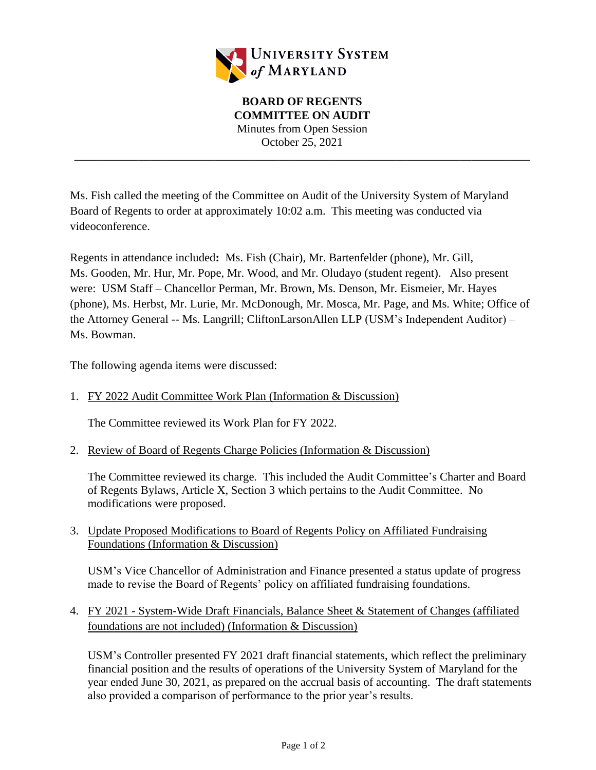

**BOARD OF REGENTS COMMITTEE ON AUDIT** Minutes from Open Session October 25, 2021

\_\_\_\_\_\_\_\_\_\_\_\_\_\_\_\_\_\_\_\_\_\_\_\_\_\_\_\_\_\_\_\_\_\_\_\_\_\_\_\_\_\_\_\_\_\_\_\_\_\_\_\_\_\_\_\_\_\_\_\_\_\_\_\_\_\_\_\_\_\_\_\_\_\_\_\_\_\_

Ms. Fish called the meeting of the Committee on Audit of the University System of Maryland Board of Regents to order at approximately 10:02 a.m. This meeting was conducted via videoconference.

Regents in attendance included**:** Ms. Fish (Chair), Mr. Bartenfelder (phone), Mr. Gill, Ms. Gooden, Mr. Hur, Mr. Pope, Mr. Wood, and Mr. Oludayo (student regent). Also present were: USM Staff – Chancellor Perman, Mr. Brown, Ms. Denson, Mr. Eismeier, Mr. Hayes (phone), Ms. Herbst, Mr. Lurie, Mr. McDonough, Mr. Mosca, Mr. Page, and Ms. White; Office of the Attorney General -- Ms. Langrill; CliftonLarsonAllen LLP (USM's Independent Auditor) – Ms. Bowman.

The following agenda items were discussed:

1. FY 2022 Audit Committee Work Plan (Information & Discussion)

The Committee reviewed its Work Plan for FY 2022.

2. Review of Board of Regents Charge Policies (Information & Discussion)

The Committee reviewed its charge. This included the Audit Committee's Charter and Board of Regents Bylaws, Article X, Section 3 which pertains to the Audit Committee. No modifications were proposed.

3. Update Proposed Modifications to Board of Regents Policy on Affiliated Fundraising Foundations (Information & Discussion)

USM's Vice Chancellor of Administration and Finance presented a status update of progress made to revise the Board of Regents' policy on affiliated fundraising foundations.

4. FY 2021 - System-Wide Draft Financials, Balance Sheet & Statement of Changes (affiliated foundations are not included) (Information & Discussion)

USM's Controller presented FY 2021 draft financial statements, which reflect the preliminary financial position and the results of operations of the University System of Maryland for the year ended June 30, 2021, as prepared on the accrual basis of accounting. The draft statements also provided a comparison of performance to the prior year's results.